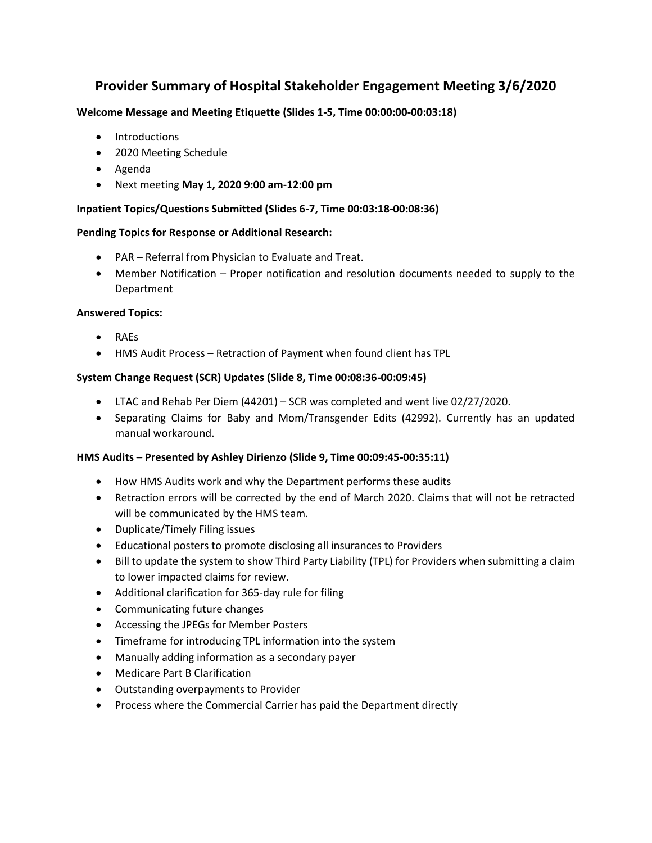# **Provider Summary of Hospital Stakeholder Engagement Meeting 3/6/2020**

# **Welcome Message and Meeting Etiquette (Slides 1-5, Time 00:00:00-00:03:18)**

- Introductions
- 2020 Meeting Schedule
- Agenda
- Next meeting **May 1, 2020 9:00 am-12:00 pm**

# **Inpatient Topics/Questions Submitted (Slides 6-7, Time 00:03:18-00:08:36)**

#### **Pending Topics for Response or Additional Research:**

- PAR Referral from Physician to Evaluate and Treat.
- Member Notification Proper notification and resolution documents needed to supply to the Department

#### **Answered Topics:**

- RAEs
- HMS Audit Process Retraction of Payment when found client has TPL

# **System Change Request (SCR) Updates (Slide 8, Time 00:08:36-00:09:45)**

- LTAC and Rehab Per Diem (44201) SCR was completed and went live 02/27/2020.
- Separating Claims for Baby and Mom/Transgender Edits (42992). Currently has an updated manual workaround.

#### **HMS Audits – Presented by Ashley Dirienzo (Slide 9, Time 00:09:45-00:35:11)**

- How HMS Audits work and why the Department performs these audits
- Retraction errors will be corrected by the end of March 2020. Claims that will not be retracted will be communicated by the HMS team.
- Duplicate/Timely Filing issues
- Educational posters to promote disclosing all insurances to Providers
- Bill to update the system to show Third Party Liability (TPL) for Providers when submitting a claim to lower impacted claims for review.
- Additional clarification for 365-day rule for filing
- Communicating future changes
- Accessing the JPEGs for Member Posters
- Timeframe for introducing TPL information into the system
- Manually adding information as a secondary payer
- Medicare Part B Clarification
- Outstanding overpayments to Provider
- Process where the Commercial Carrier has paid the Department directly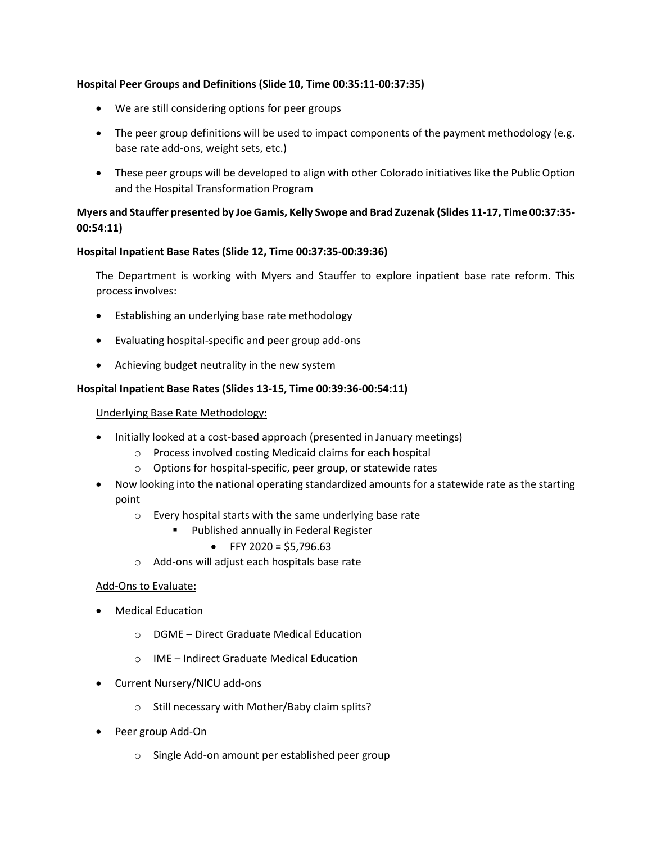#### **Hospital Peer Groups and Definitions (Slide 10, Time 00:35:11-00:37:35)**

- We are still considering options for peer groups
- The peer group definitions will be used to impact components of the payment methodology (e.g. base rate add-ons, weight sets, etc.)
- These peer groups will be developed to align with other Colorado initiatives like the Public Option and the Hospital Transformation Program

# **Myers and Stauffer presented by Joe Gamis, Kelly Swope and Brad Zuzenak (Slides 11-17, Time 00:37:35- 00:54:11)**

# **Hospital Inpatient Base Rates (Slide 12, Time 00:37:35-00:39:36)**

The Department is working with Myers and Stauffer to explore inpatient base rate reform. This process involves:

- Establishing an underlying base rate methodology
- Evaluating hospital-specific and peer group add-ons
- Achieving budget neutrality in the new system

#### **Hospital Inpatient Base Rates (Slides 13-15, Time 00:39:36-00:54:11)**

#### Underlying Base Rate Methodology:

- Initially looked at a cost-based approach (presented in January meetings)
	- o Process involved costing Medicaid claims for each hospital
	- o Options for hospital-specific, peer group, or statewide rates
- Now looking into the national operating standardized amounts for a statewide rate as the starting point
	- o Every hospital starts with the same underlying base rate
		- Published annually in Federal Register
			- FFY 2020 = \$5.796.63
	- o Add-ons will adjust each hospitals base rate

#### Add-Ons to Evaluate:

- Medical Education
	- o DGME Direct Graduate Medical Education
	- o IME Indirect Graduate Medical Education
- Current Nursery/NICU add-ons
	- o Still necessary with Mother/Baby claim splits?
- Peer group Add-On
	- o Single Add-on amount per established peer group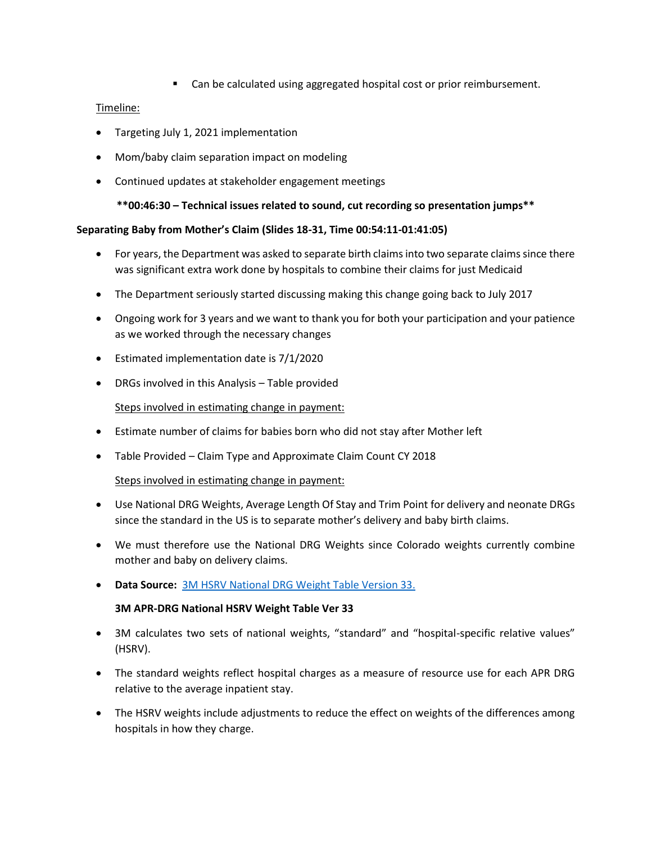■ Can be calculated using aggregated hospital cost or prior reimbursement.

# Timeline:

- Targeting July 1, 2021 implementation
- Mom/baby claim separation impact on modeling
- Continued updates at stakeholder engagement meetings

**\*\*00:46:30 – Technical issues related to sound, cut recording so presentation jumps\*\***

#### **Separating Baby from Mother's Claim (Slides 18-31, Time 00:54:11-01:41:05)**

- For years, the Department was asked to separate birth claims into two separate claims since there was significant extra work done by hospitals to combine their claims for just Medicaid
- The Department seriously started discussing making this change going back to July 2017
- Ongoing work for 3 years and we want to thank you for both your participation and your patience as we worked through the necessary changes
- Estimated implementation date is 7/1/2020
- DRGs involved in this Analysis Table provided

Steps involved in estimating change in payment:

- Estimate number of claims for babies born who did not stay after Mother left
- Table Provided Claim Type and Approximate Claim Count CY 2018

Steps involved in estimating change in payment:

- Use National DRG Weights, Average Length Of Stay and Trim Point for delivery and neonate DRGs since the standard in the US is to separate mother's delivery and baby birth claims.
- We must therefore use the National DRG Weights since Colorado weights currently combine mother and baby on delivery claims.
- **Data Source:** [3M HSRV National DRG Weight Table Version 33.](https://www.colorado.gov/pacific/sites/default/files/Hospital%20Specific%20Relative%20Values%20%203M%20NATIONAL%20WT%20TABLE%20VER%2033_1.pdf)

#### **3M APR-DRG National HSRV Weight Table Ver 33**

- 3M calculates two sets of national weights, "standard" and "hospital-specific relative values" (HSRV).
- The standard weights reflect hospital charges as a measure of resource use for each APR DRG relative to the average inpatient stay.
- The HSRV weights include adjustments to reduce the effect on weights of the differences among hospitals in how they charge.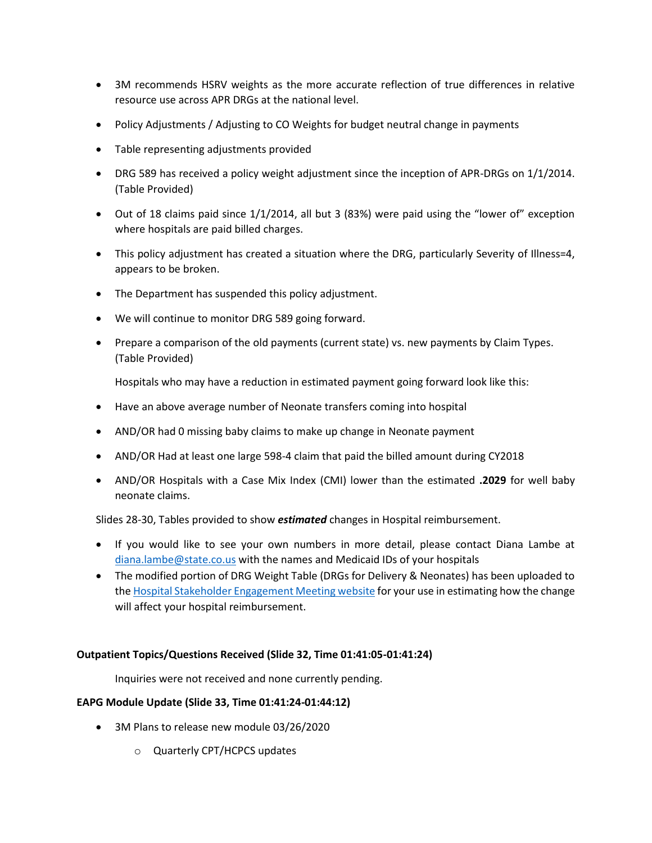- 3M recommends HSRV weights as the more accurate reflection of true differences in relative resource use across APR DRGs at the national level.
- Policy Adjustments / Adjusting to CO Weights for budget neutral change in payments
- Table representing adjustments provided
- DRG 589 has received a policy weight adjustment since the inception of APR-DRGs on 1/1/2014. (Table Provided)
- Out of 18 claims paid since 1/1/2014, all but 3 (83%) were paid using the "lower of" exception where hospitals are paid billed charges.
- This policy adjustment has created a situation where the DRG, particularly Severity of Illness=4, appears to be broken.
- The Department has suspended this policy adjustment.
- We will continue to monitor DRG 589 going forward.
- Prepare a comparison of the old payments (current state) vs. new payments by Claim Types. (Table Provided)

Hospitals who may have a reduction in estimated payment going forward look like this:

- Have an above average number of Neonate transfers coming into hospital
- AND/OR had 0 missing baby claims to make up change in Neonate payment
- AND/OR Had at least one large 598-4 claim that paid the billed amount during CY2018
- AND/OR Hospitals with a Case Mix Index (CMI) lower than the estimated **.2029** for well baby neonate claims.

Slides 28-30, Tables provided to show *estimated* changes in Hospital reimbursement.

- If you would like to see your own numbers in more detail, please contact Diana Lambe at [diana.lambe@state.co.us](mailto:diana.lambe@state.co.us) with the names and Medicaid IDs of your hospitals
- The modified portion of DRG Weight Table (DRGs for Delivery & Neonates) has been uploaded to th[e Hospital Stakeholder Engagement Meeting website](https://www.colorado.gov/pacific/hcpf/hospital-stakeholder-engagement-meetings) for your use in estimating how the change will affect your hospital reimbursement.

#### **Outpatient Topics/Questions Received (Slide 32, Time 01:41:05-01:41:24)**

Inquiries were not received and none currently pending.

#### **EAPG Module Update (Slide 33, Time 01:41:24-01:44:12)**

- 3M Plans to release new module 03/26/2020
	- o Quarterly CPT/HCPCS updates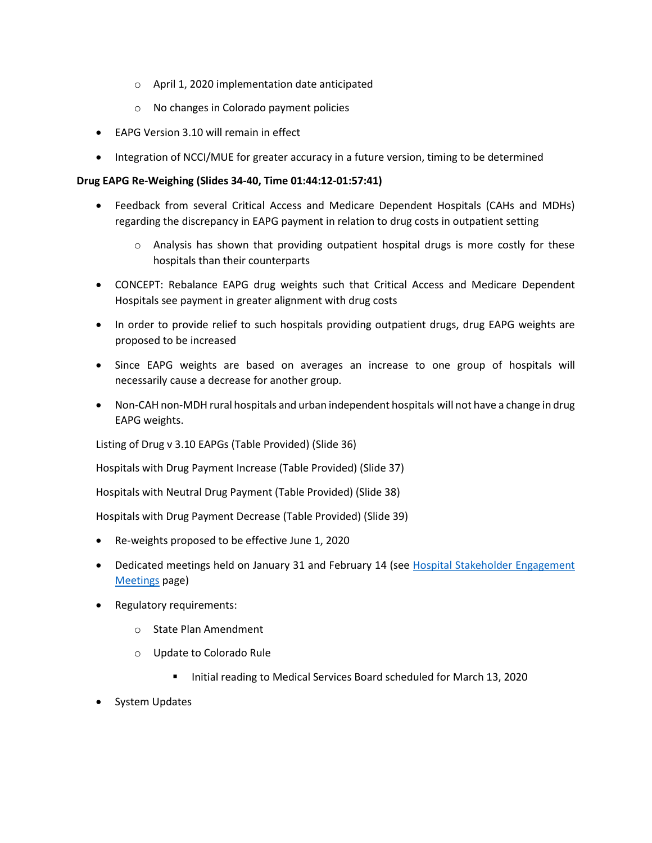- o April 1, 2020 implementation date anticipated
- o No changes in Colorado payment policies
- EAPG Version 3.10 will remain in effect
- Integration of NCCI/MUE for greater accuracy in a future version, timing to be determined

#### **Drug EAPG Re-Weighing (Slides 34-40, Time 01:44:12-01:57:41)**

- Feedback from several Critical Access and Medicare Dependent Hospitals (CAHs and MDHs) regarding the discrepancy in EAPG payment in relation to drug costs in outpatient setting
	- $\circ$  Analysis has shown that providing outpatient hospital drugs is more costly for these hospitals than their counterparts
- CONCEPT: Rebalance EAPG drug weights such that Critical Access and Medicare Dependent Hospitals see payment in greater alignment with drug costs
- In order to provide relief to such hospitals providing outpatient drugs, drug EAPG weights are proposed to be increased
- Since EAPG weights are based on averages an increase to one group of hospitals will necessarily cause a decrease for another group.
- Non-CAH non-MDH rural hospitals and urban independent hospitals will not have a change in drug EAPG weights.

Listing of Drug v 3.10 EAPGs (Table Provided) (Slide 36)

Hospitals with Drug Payment Increase (Table Provided) (Slide 37)

Hospitals with Neutral Drug Payment (Table Provided) (Slide 38)

Hospitals with Drug Payment Decrease (Table Provided) (Slide 39)

- Re-weights proposed to be effective June 1, 2020
- Dedicated meetings held on January 31 and February 14 (see Hospital Stakeholder Engagement [Meetings](https://www.colorado.gov/pacific/hcpf/hospital-stakeholder-engagement-meetings) page)
- Regulatory requirements:
	- o State Plan Amendment
	- o Update to Colorado Rule
		- Initial reading to Medical Services Board scheduled for March 13, 2020
- System Updates